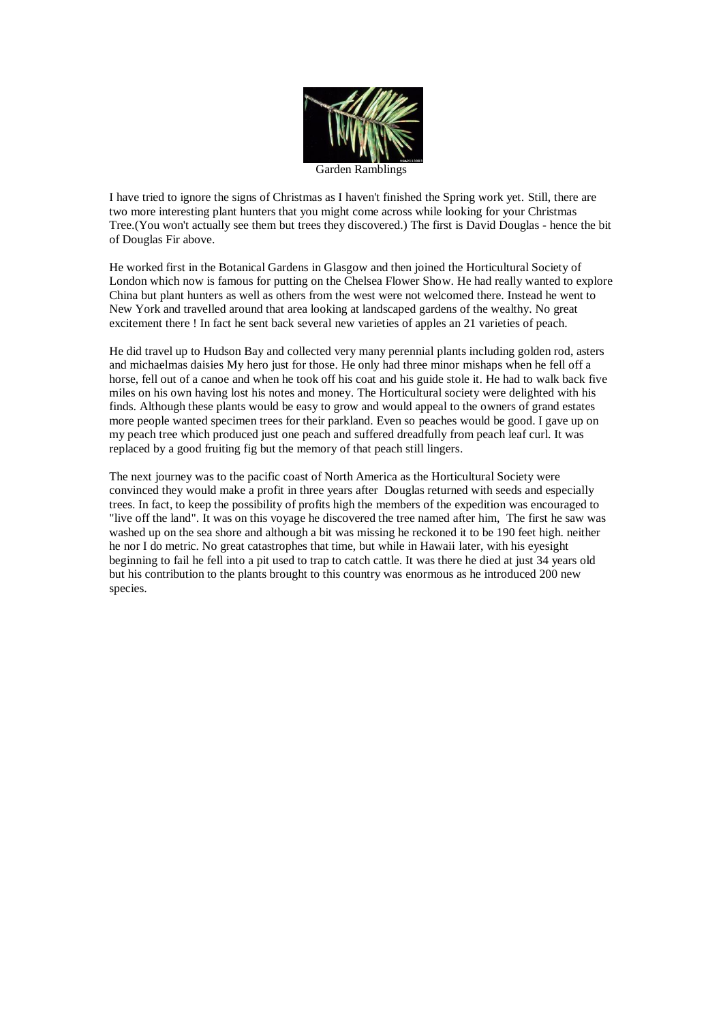

I have tried to ignore the signs of Christmas as I haven't finished the Spring work yet. Still, there are two more interesting plant hunters that you might come across while looking for your Christmas Tree.(You won't actually see them but trees they discovered.) The first is David Douglas - hence the bit of Douglas Fir above.

He worked first in the Botanical Gardens in Glasgow and then joined the Horticultural Society of London which now is famous for putting on the Chelsea Flower Show. He had really wanted to explore China but plant hunters as well as others from the west were not welcomed there. Instead he went to New York and travelled around that area looking at landscaped gardens of the wealthy. No great excitement there ! In fact he sent back several new varieties of apples an 21 varieties of peach.

He did travel up to Hudson Bay and collected very many perennial plants including golden rod, asters and michaelmas daisies My hero just for those. He only had three minor mishaps when he fell off a horse, fell out of a canoe and when he took off his coat and his guide stole it. He had to walk back five miles on his own having lost his notes and money. The Horticultural society were delighted with his finds. Although these plants would be easy to grow and would appeal to the owners of grand estates more people wanted specimen trees for their parkland. Even so peaches would be good. I gave up on my peach tree which produced just one peach and suffered dreadfully from peach leaf curl. It was replaced by a good fruiting fig but the memory of that peach still lingers.

The next journey was to the pacific coast of North America as the Horticultural Society were convinced they would make a profit in three years after Douglas returned with seeds and especially trees. In fact, to keep the possibility of profits high the members of the expedition was encouraged to "live off the land". It was on this voyage he discovered the tree named after him, The first he saw was washed up on the sea shore and although a bit was missing he reckoned it to be 190 feet high. neither he nor I do metric. No great catastrophes that time, but while in Hawaii later, with his eyesight beginning to fail he fell into a pit used to trap to catch cattle. It was there he died at just 34 years old but his contribution to the plants brought to this country was enormous as he introduced 200 new species.